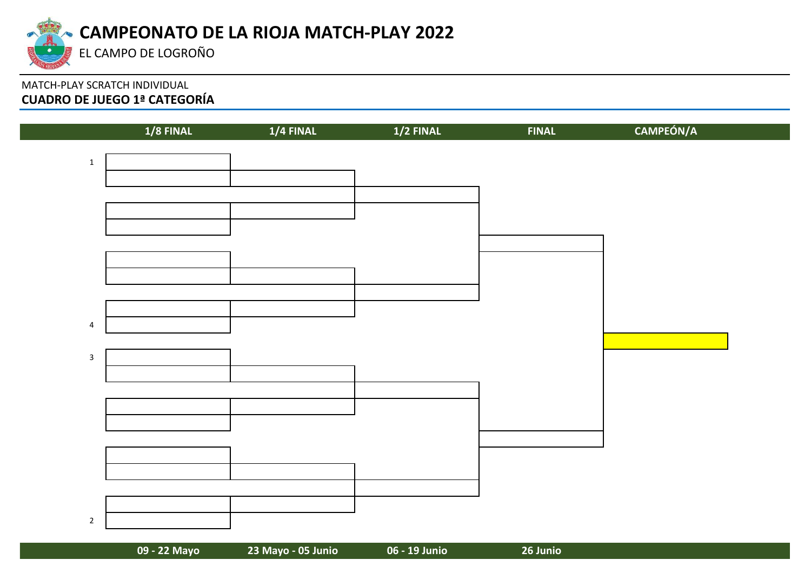

# MATCH-PLAY SCRATCH INDIVIDUAL **CUADRO DE JUEGO 1ª CATEGORÍA**

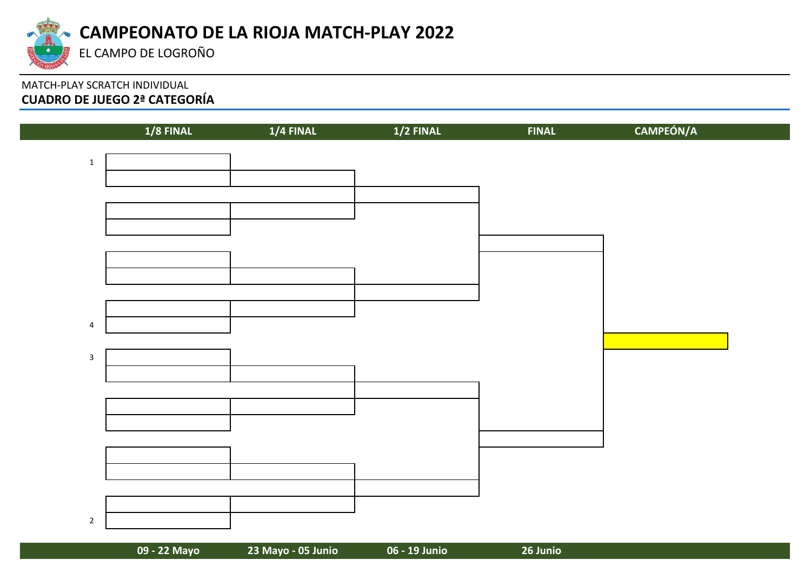

# MATCH-PLAY SCRATCH INDIVIDUAL **CUADRO DE JUEGO 2ª CATEGORÍA**

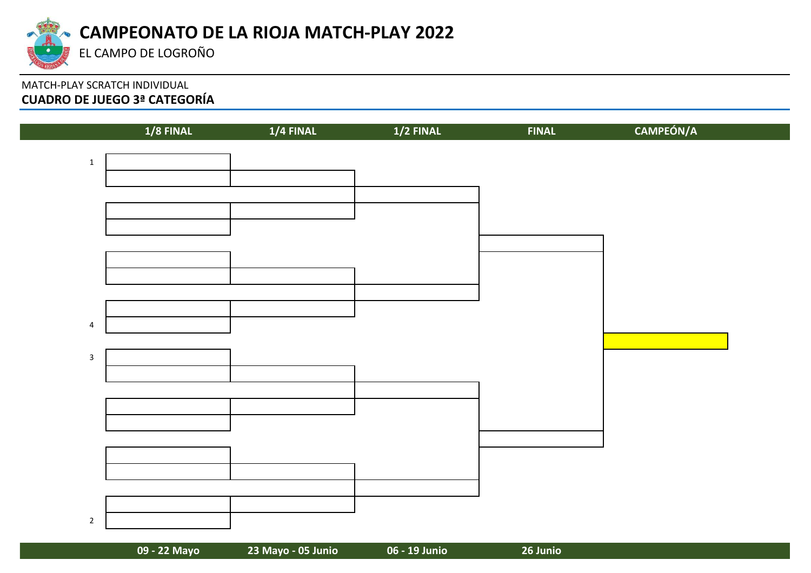

# MATCH-PLAY SCRATCH INDIVIDUAL **CUADRO DE JUEGO 3ª CATEGORÍA**

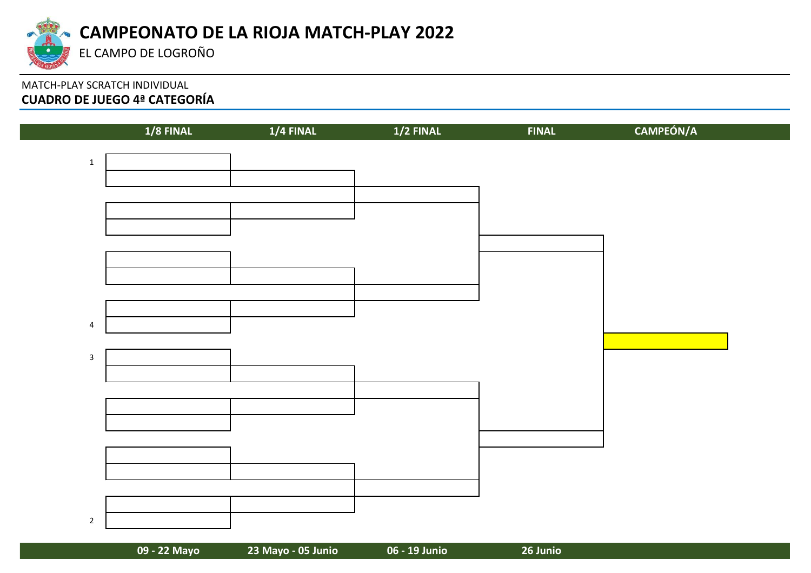

# MATCH-PLAY SCRATCH INDIVIDUAL **CUADRO DE JUEGO 4ª CATEGORÍA**